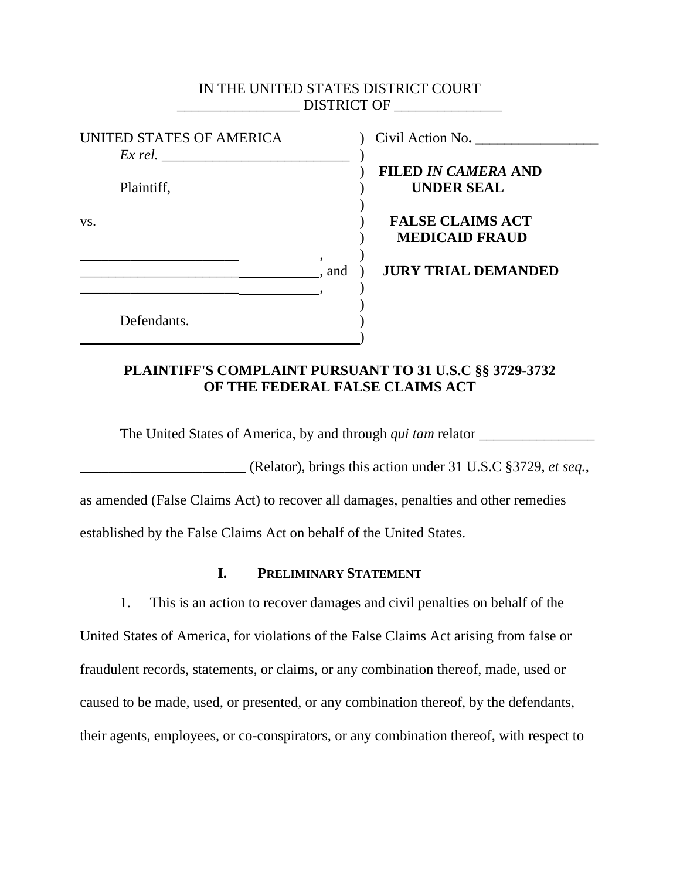## IN THE UNITED STATES DISTRICT COURT \_\_\_\_\_\_\_\_\_\_\_\_\_\_\_\_\_ DISTRICT OF \_\_\_\_\_\_\_\_\_\_\_\_\_\_\_

|     | UNITED STATES OF AMERICA<br>Ex rel. |       |
|-----|-------------------------------------|-------|
|     | Plaintiff,                          |       |
| VS. |                                     |       |
|     |                                     | , and |
|     | Defendants.                         |       |

UNITED STATES OF AMERICA ) Civil Action No**. \_\_\_\_\_\_\_\_\_\_\_\_\_\_\_\_\_**

# ) **FILED** *IN CAMERA* **AND UNDER SEAL**

# **FALSE CLAIMS ACT** ) **MEDICAID FRAUD**

\_\_\_\_\_\_\_\_\_\_\_\_\_\_\_\_\_\_\_\_\_\_ , and ) **JURY TRIAL DEMANDED** 

# **PLAINTIFF'S COMPLAINT PURSUANT TO 31 U.S.C §§ 3729-3732 OF THE FEDERAL FALSE CLAIMS ACT**

The United States of America, by and through *qui tam* relator \_\_\_\_\_\_\_\_\_\_\_\_\_\_\_\_

\_\_\_\_\_\_\_\_\_\_\_\_\_\_\_\_\_\_\_\_\_\_\_ (Relator), brings this action under 31 U.S.C §3729, *et seq.*,

as amended (False Claims Act) to recover all damages, penalties and other remedies

established by the False Claims Act on behalf of the United States.

# **I. PRELIMINARY STATEMENT**

1. This is an action to recover damages and civil penalties on behalf of the United States of America, for violations of the False Claims Act arising from false or fraudulent records, statements, or claims, or any combination thereof, made, used or caused to be made, used, or presented, or any combination thereof, by the defendants, their agents, employees, or co-conspirators, or any combination thereof, with respect to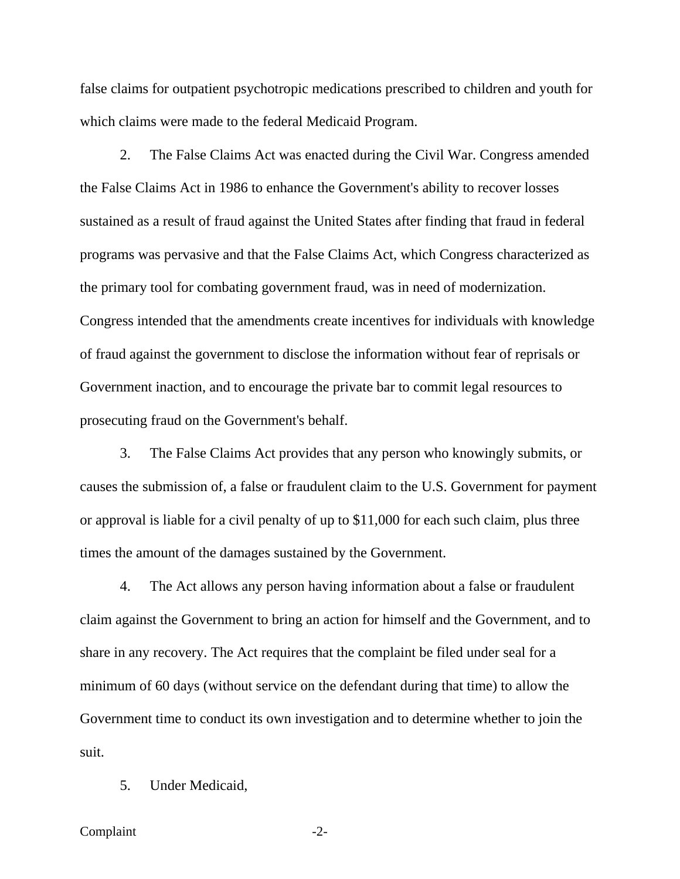false claims for outpatient psychotropic medications prescribed to children and youth for which claims were made to the federal Medicaid Program.

2. The False Claims Act was enacted during the Civil War. Congress amended the False Claims Act in 1986 to enhance the Government's ability to recover losses sustained as a result of fraud against the United States after finding that fraud in federal programs was pervasive and that the False Claims Act, which Congress characterized as the primary tool for combating government fraud, was in need of modernization. Congress intended that the amendments create incentives for individuals with knowledge of fraud against the government to disclose the information without fear of reprisals or Government inaction, and to encourage the private bar to commit legal resources to prosecuting fraud on the Government's behalf.

3. The False Claims Act provides that any person who knowingly submits, or causes the submission of, a false or fraudulent claim to the U.S. Government for payment or approval is liable for a civil penalty of up to \$11,000 for each such claim, plus three times the amount of the damages sustained by the Government.

4. The Act allows any person having information about a false or fraudulent claim against the Government to bring an action for himself and the Government, and to share in any recovery. The Act requires that the complaint be filed under seal for a minimum of 60 days (without service on the defendant during that time) to allow the Government time to conduct its own investigation and to determine whether to join the suit.

5. Under Medicaid,

#### Complaint -2-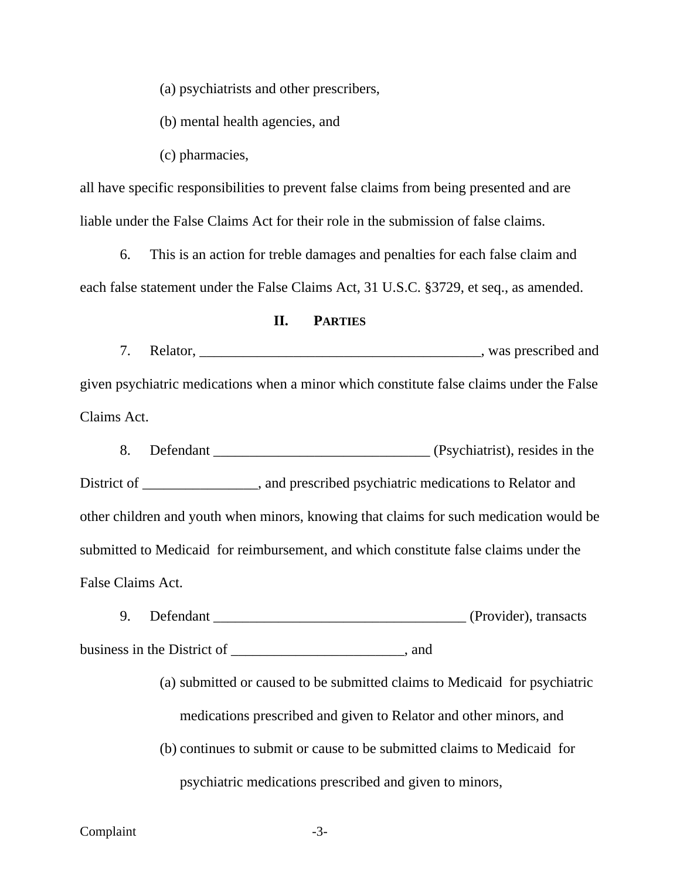(a) psychiatrists and other prescribers,

(b) mental health agencies, and

(c) pharmacies,

all have specific responsibilities to prevent false claims from being presented and are liable under the False Claims Act for their role in the submission of false claims.

6. This is an action for treble damages and penalties for each false claim and each false statement under the False Claims Act, 31 U.S.C. §3729, et seq., as amended.

#### **II. PARTIES**

7. Relator, \_\_\_\_\_\_\_\_\_\_\_\_\_\_\_\_\_\_\_\_\_\_\_\_\_\_\_\_\_\_\_\_\_\_\_\_\_\_\_, was prescribed and given psychiatric medications when a minor which constitute false claims under the False Claims Act.

8. Defendant \_\_\_\_\_\_\_\_\_\_\_\_\_\_\_\_\_\_\_\_\_\_\_\_\_\_\_\_\_\_ (Psychiatrist), resides in the District of \_\_\_\_\_\_\_\_\_\_\_\_\_, and prescribed psychiatric medications to Relator and other children and youth when minors, knowing that claims for such medication would be submitted to Medicaid for reimbursement, and which constitute false claims under the False Claims Act.

9. Defendant \_\_\_\_\_\_\_\_\_\_\_\_\_\_\_\_\_\_\_\_\_\_\_\_\_\_\_\_\_\_\_\_\_\_\_ (Provider), transacts business in the District of \_\_\_\_\_\_\_\_\_\_\_\_\_\_\_\_\_\_\_\_, and

> (a) submitted or caused to be submitted claims to Medicaid for psychiatric medications prescribed and given to Relator and other minors, and

(b) continues to submit or cause to be submitted claims to Medicaid for psychiatric medications prescribed and given to minors,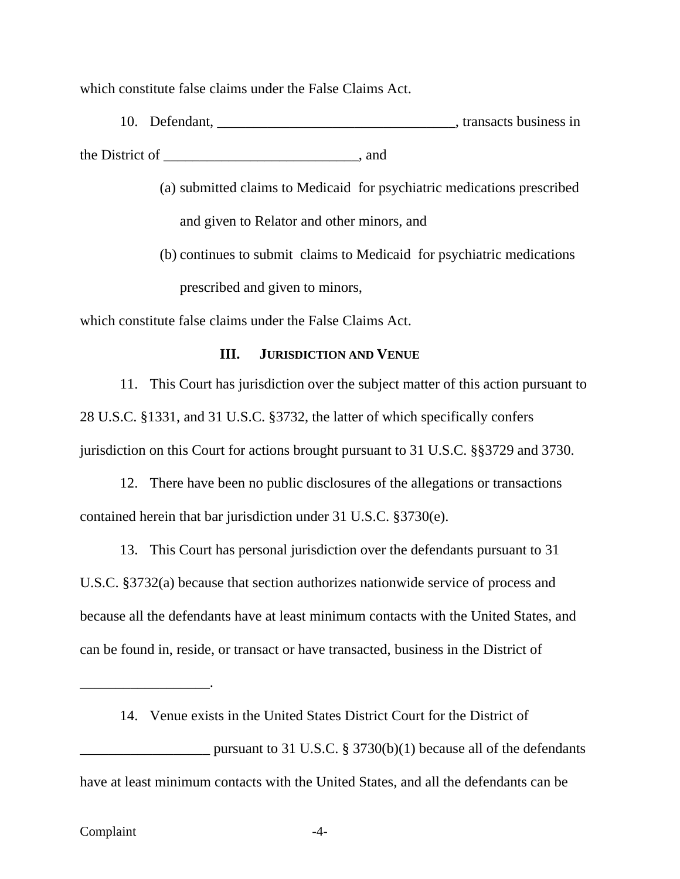which constitute false claims under the False Claims Act.

10. Defendant, \_\_\_\_\_\_\_\_\_\_\_\_\_\_\_\_\_\_\_\_\_\_\_\_\_\_\_\_\_\_\_\_\_, transacts business in the District of \_\_\_\_\_\_\_\_\_\_\_\_\_\_\_\_\_\_\_\_\_\_\_\_\_\_\_, and

> (a) submitted claims to Medicaid for psychiatric medications prescribed and given to Relator and other minors, and

(b) continues to submit claims to Medicaid for psychiatric medications prescribed and given to minors,

which constitute false claims under the False Claims Act.

### **III. JURISDICTION AND VENUE**

11. This Court has jurisdiction over the subject matter of this action pursuant to 28 U.S.C. §1331, and 31 U.S.C. §3732, the latter of which specifically confers jurisdiction on this Court for actions brought pursuant to 31 U.S.C. §§3729 and 3730.

12. There have been no public disclosures of the allegations or transactions contained herein that bar jurisdiction under 31 U.S.C. §3730(e).

13. This Court has personal jurisdiction over the defendants pursuant to 31 U.S.C. §3732(a) because that section authorizes nationwide service of process and because all the defendants have at least minimum contacts with the United States, and can be found in, reside, or transact or have transacted, business in the District of

14. Venue exists in the United States District Court for the District of

pursuant to 31 U.S.C.  $\S 3730(b)(1)$  because all of the defendants have at least minimum contacts with the United States, and all the defendants can be

\_\_\_\_\_\_\_\_\_\_\_\_\_\_\_\_\_\_.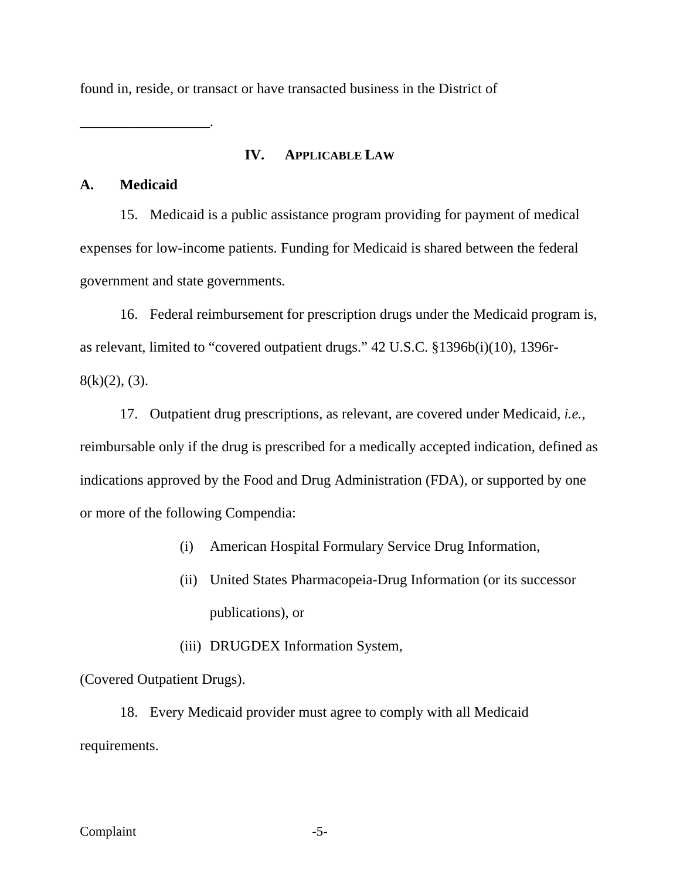found in, reside, or transact or have transacted business in the District of

### **IV. APPLICABLE LAW**

# **A. Medicaid**

\_\_\_\_\_\_\_\_\_\_\_\_\_\_\_\_\_\_.

15. Medicaid is a public assistance program providing for payment of medical expenses for low-income patients. Funding for Medicaid is shared between the federal government and state governments.

16. Federal reimbursement for prescription drugs under the Medicaid program is, as relevant, limited to "covered outpatient drugs." 42 U.S.C. §1396b(i)(10), 1396r- $8(k)(2)$ , (3).

17. Outpatient drug prescriptions, as relevant, are covered under Medicaid, *i.e.*, reimbursable only if the drug is prescribed for a medically accepted indication, defined as indications approved by the Food and Drug Administration (FDA), or supported by one or more of the following Compendia:

- (i) American Hospital Formulary Service Drug Information,
- (ii) United States Pharmacopeia-Drug Information (or its successor publications), or
- (iii) DRUGDEX Information System,

(Covered Outpatient Drugs).

18. Every Medicaid provider must agree to comply with all Medicaid requirements.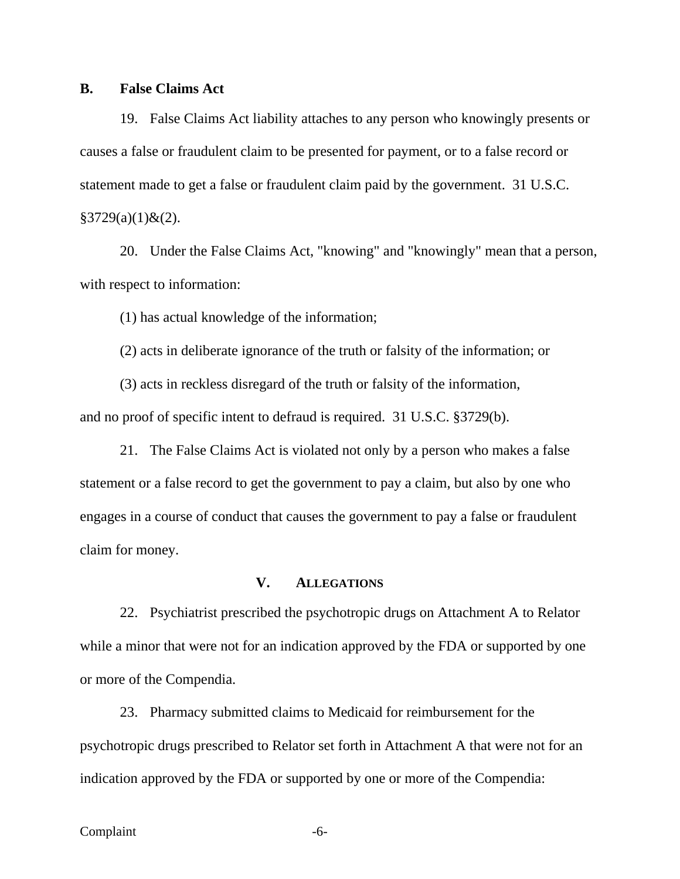#### **B. False Claims Act**

19. False Claims Act liability attaches to any person who knowingly presents or causes a false or fraudulent claim to be presented for payment, or to a false record or statement made to get a false or fraudulent claim paid by the government. 31 U.S.C.  $§3729(a)(1) \& (2).$ 

20. Under the False Claims Act, "knowing" and "knowingly" mean that a person, with respect to information:

(1) has actual knowledge of the information;

(2) acts in deliberate ignorance of the truth or falsity of the information; or

(3) acts in reckless disregard of the truth or falsity of the information, and no proof of specific intent to defraud is required. 31 U.S.C. §3729(b).

21. The False Claims Act is violated not only by a person who makes a false statement or a false record to get the government to pay a claim, but also by one who engages in a course of conduct that causes the government to pay a false or fraudulent claim for money.

# **V. ALLEGATIONS**

22. Psychiatrist prescribed the psychotropic drugs on Attachment A to Relator while a minor that were not for an indication approved by the FDA or supported by one or more of the Compendia.

23. Pharmacy submitted claims to Medicaid for reimbursement for the psychotropic drugs prescribed to Relator set forth in Attachment A that were not for an indication approved by the FDA or supported by one or more of the Compendia: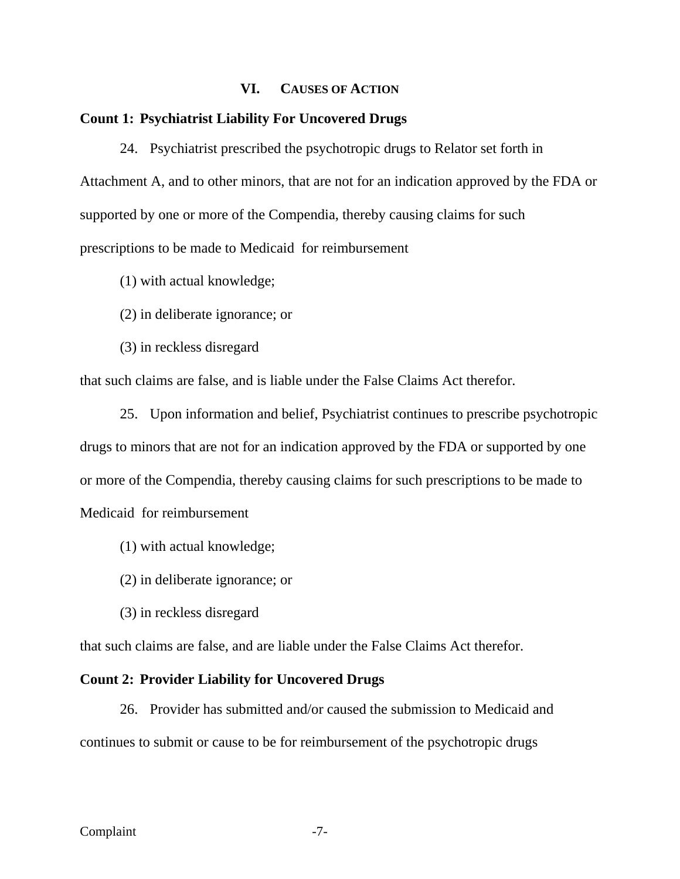## **VI. CAUSES OF ACTION**

#### **Count 1: Psychiatrist Liability For Uncovered Drugs**

24. Psychiatrist prescribed the psychotropic drugs to Relator set forth in Attachment A, and to other minors, that are not for an indication approved by the FDA or supported by one or more of the Compendia, thereby causing claims for such prescriptions to be made to Medicaid for reimbursement

- (1) with actual knowledge;
- (2) in deliberate ignorance; or
- (3) in reckless disregard

that such claims are false, and is liable under the False Claims Act therefor.

25. Upon information and belief, Psychiatrist continues to prescribe psychotropic drugs to minors that are not for an indication approved by the FDA or supported by one or more of the Compendia, thereby causing claims for such prescriptions to be made to Medicaid for reimbursement

- (1) with actual knowledge;
- (2) in deliberate ignorance; or
- (3) in reckless disregard

that such claims are false, and are liable under the False Claims Act therefor.

#### **Count 2: Provider Liability for Uncovered Drugs**

26. Provider has submitted and/or caused the submission to Medicaid and continues to submit or cause to be for reimbursement of the psychotropic drugs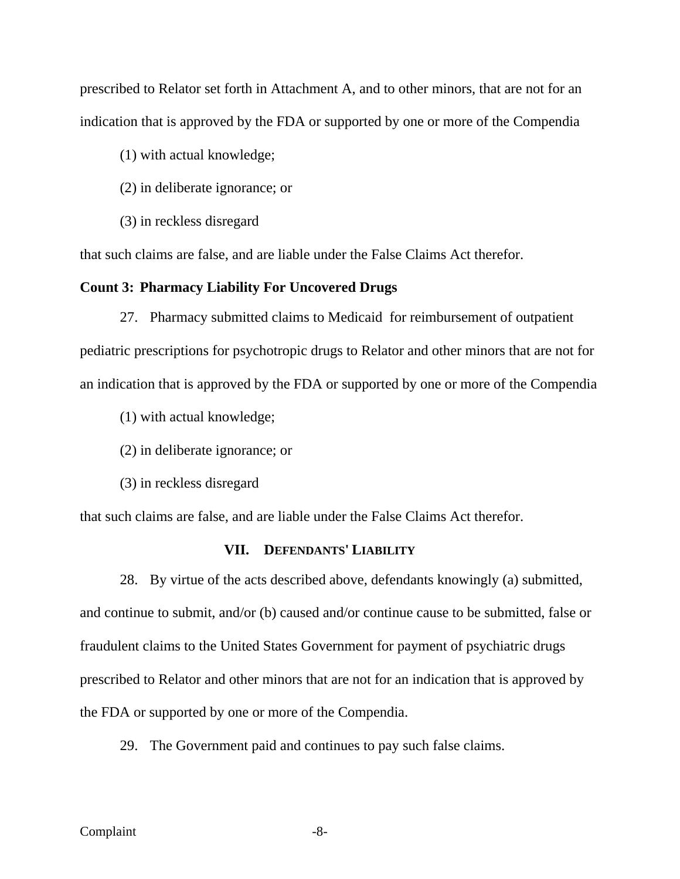prescribed to Relator set forth in Attachment A, and to other minors, that are not for an indication that is approved by the FDA or supported by one or more of the Compendia

(1) with actual knowledge;

- (2) in deliberate ignorance; or
- (3) in reckless disregard

that such claims are false, and are liable under the False Claims Act therefor.

#### **Count 3: Pharmacy Liability For Uncovered Drugs**

27. Pharmacy submitted claims to Medicaid for reimbursement of outpatient pediatric prescriptions for psychotropic drugs to Relator and other minors that are not for an indication that is approved by the FDA or supported by one or more of the Compendia

- (1) with actual knowledge;
- (2) in deliberate ignorance; or
- (3) in reckless disregard

that such claims are false, and are liable under the False Claims Act therefor.

## **VII. DEFENDANTS' LIABILITY**

28. By virtue of the acts described above, defendants knowingly (a) submitted, and continue to submit, and/or (b) caused and/or continue cause to be submitted, false or fraudulent claims to the United States Government for payment of psychiatric drugs prescribed to Relator and other minors that are not for an indication that is approved by the FDA or supported by one or more of the Compendia.

29. The Government paid and continues to pay such false claims.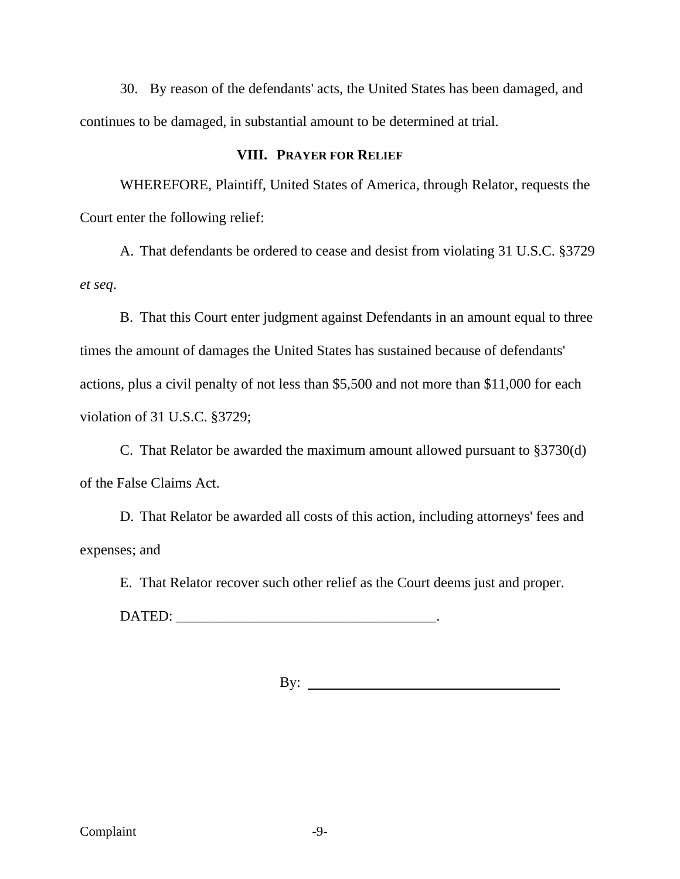30. By reason of the defendants' acts, the United States has been damaged, and continues to be damaged, in substantial amount to be determined at trial.

# **VIII. PRAYER FOR RELIEF**

WHEREFORE, Plaintiff, United States of America, through Relator, requests the Court enter the following relief:

A. That defendants be ordered to cease and desist from violating 31 U.S.C. §3729 *et seq*.

B. That this Court enter judgment against Defendants in an amount equal to three times the amount of damages the United States has sustained because of defendants' actions, plus a civil penalty of not less than \$5,500 and not more than \$11,000 for each violation of 31 U.S.C. §3729;

C. That Relator be awarded the maximum amount allowed pursuant to §3730(d) of the False Claims Act.

D. That Relator be awarded all costs of this action, including attorneys' fees and expenses; and

E. That Relator recover such other relief as the Court deems just and proper.

DATED: \_\_\_\_\_\_\_\_\_\_\_\_\_\_\_\_\_\_\_\_\_\_\_\_\_\_\_\_\_\_\_\_\_\_\_\_.

By: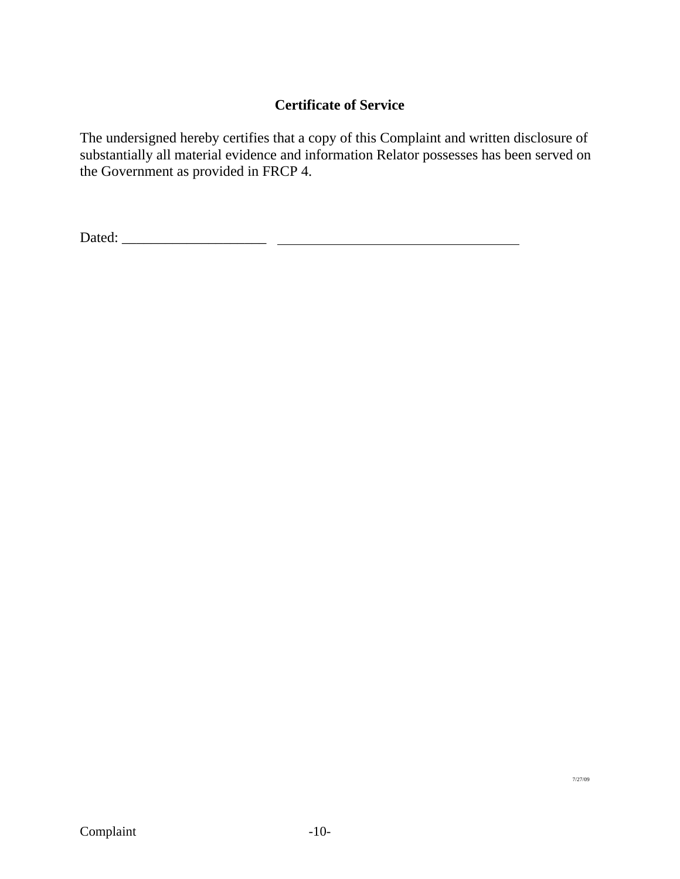# **Certificate of Service**

The undersigned hereby certifies that a copy of this Complaint and written disclosure of substantially all material evidence and information Relator possesses has been served on the Government as provided in FRCP 4.

Dated: \_\_\_\_\_\_\_\_\_\_\_\_\_\_\_\_\_\_\_\_